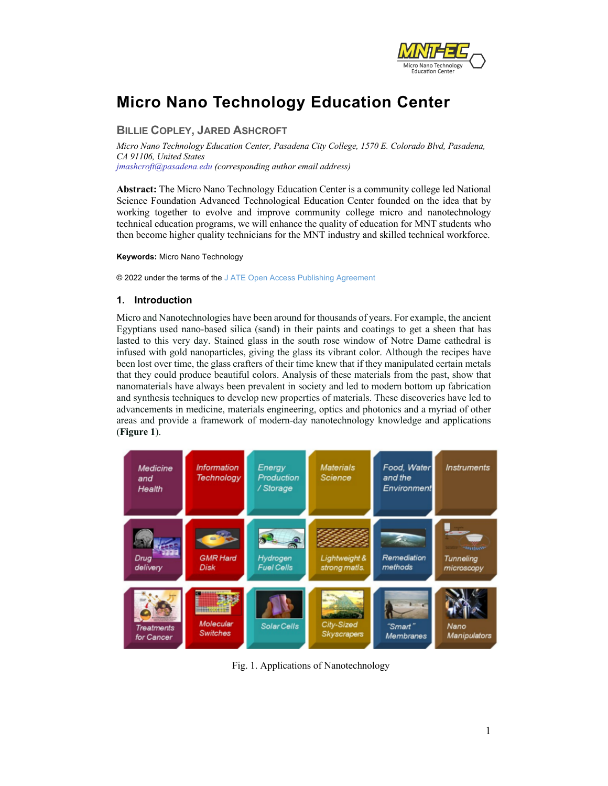

## **Micro Nano Technology Education Center**

## **BILLIE COPLEY, JARED ASHCROFT**

*Micro Nano Technology Education Center, Pasadena City College, 1570 E. Colorado Blvd, Pasadena, CA 91106, United States jmashcroft@pasadena.edu (corresponding author email address)*

**Abstract:** The Micro Nano Technology Education Center is a community college led National Science Foundation Advanced Technological Education Center founded on the idea that by working together to evolve and improve community college micro and nanotechnology technical education programs, we will enhance the quality of education for MNT students who then become higher quality technicians for the MNT industry and skilled technical workforce.

**Keywords:** Micro Nano Technology

© 2022 under the terms of the J ATE Open Access Publishing Agreement

## **1. Introduction**

Micro and Nanotechnologies have been around for thousands of years. For example, the ancient Egyptians used nano-based silica (sand) in their paints and coatings to get a sheen that has lasted to this very day. Stained glass in the south rose window of Notre Dame cathedral is infused with gold nanoparticles, giving the glass its vibrant color. Although the recipes have been lost over time, the glass crafters of their time knew that if they manipulated certain metals that they could produce beautiful colors. Analysis of these materials from the past, show that nanomaterials have always been prevalent in society and led to modern bottom up fabrication and synthesis techniques to develop new properties of materials. These discoveries have led to advancements in medicine, materials engineering, optics and photonics and a myriad of other areas and provide a framework of modern-day nanotechnology knowledge and applications (**Figure 1**).



Fig. 1. Applications of Nanotechnology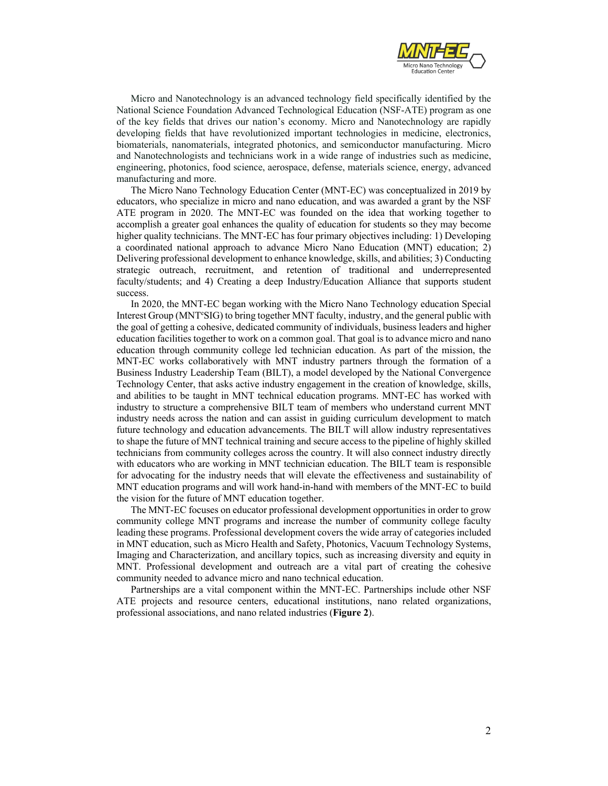

Micro and Nanotechnology is an advanced technology field specifically identified by the National Science Foundation Advanced Technological Education (NSF-ATE) program as one of the key fields that drives our nation's economy. Micro and Nanotechnology are rapidly developing fields that have revolutionized important technologies in medicine, electronics, biomaterials, nanomaterials, integrated photonics, and semiconductor manufacturing. Micro and Nanotechnologists and technicians work in a wide range of industries such as medicine, engineering, photonics, food science, aerospace, defense, materials science, energy, advanced manufacturing and more.

The Micro Nano Technology Education Center (MNT-EC) was conceptualized in 2019 by educators, who specialize in micro and nano education, and was awarded a grant by the NSF ATE program in 2020. The MNT-EC was founded on the idea that working together to accomplish a greater goal enhances the quality of education for students so they may become higher quality technicians. The MNT-EC has four primary objectives including: 1) Developing a coordinated national approach to advance Micro Nano Education (MNT) education; 2) Delivering professional development to enhance knowledge, skills, and abilities; 3) Conducting strategic outreach, recruitment, and retention of traditional and underrepresented faculty/students; and 4) Creating a deep Industry/Education Alliance that supports student success.

In 2020, the MNT-EC began working with the Micro Nano Technology education Special Interest Group (MNT<sup>e</sup>SIG) to bring together MNT faculty, industry, and the general public with the goal of getting a cohesive, dedicated community of individuals, business leaders and higher education facilities together to work on a common goal. That goal is to advance micro and nano education through community college led technician education. As part of the mission, the MNT-EC works collaboratively with MNT industry partners through the formation of a Business Industry Leadership Team (BILT), a model developed by the National Convergence Technology Center, that asks active industry engagement in the creation of knowledge, skills, and abilities to be taught in MNT technical education programs. MNT-EC has worked with industry to structure a comprehensive BILT team of members who understand current MNT industry needs across the nation and can assist in guiding curriculum development to match future technology and education advancements. The BILT will allow industry representatives to shape the future of MNT technical training and secure access to the pipeline of highly skilled technicians from community colleges across the country. It will also connect industry directly with educators who are working in MNT technician education. The BILT team is responsible for advocating for the industry needs that will elevate the effectiveness and sustainability of MNT education programs and will work hand-in-hand with members of the MNT-EC to build the vision for the future of MNT education together.

The MNT-EC focuses on educator professional development opportunities in order to grow community college MNT programs and increase the number of community college faculty leading these programs. Professional development covers the wide array of categories included in MNT education, such as Micro Health and Safety, Photonics, Vacuum Technology Systems, Imaging and Characterization, and ancillary topics, such as increasing diversity and equity in MNT. Professional development and outreach are a vital part of creating the cohesive community needed to advance micro and nano technical education.

Partnerships are a vital component within the MNT-EC. Partnerships include other NSF ATE projects and resource centers, educational institutions, nano related organizations, professional associations, and nano related industries (**Figure 2**).